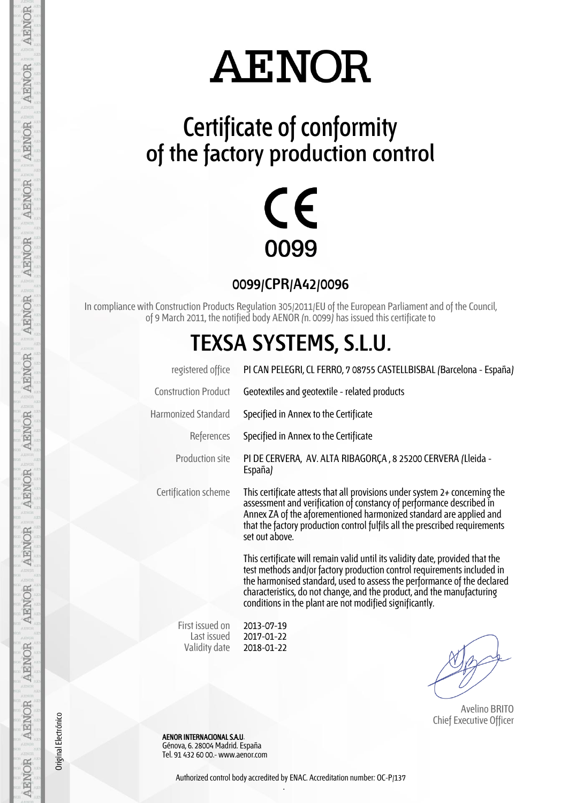### **Certificate of conformity of the factory production control**



**0099/CPR/A42/0096**

In compliance with Construction Products Regulation 305/2011/EU of the European Parliament and of the Council, of 9 March 2011, the notified body AENOR (n. 0099) has issued this certificate to

### **TEXSA SYSTEMS, S.L.U.**

| registered office              | PI CAN PELEGRI, CL FERRO, 7 08755 CASTELLBISBAL (Barcelona - España)                                                                                                                                                                                                                                                                                                     |
|--------------------------------|--------------------------------------------------------------------------------------------------------------------------------------------------------------------------------------------------------------------------------------------------------------------------------------------------------------------------------------------------------------------------|
| <b>Construction Product</b>    | Geotextiles and geotextile - related products                                                                                                                                                                                                                                                                                                                            |
| <b>Harmonized Standard</b>     | Specified in Annex to the Certificate                                                                                                                                                                                                                                                                                                                                    |
| References                     | Specified in Annex to the Certificate                                                                                                                                                                                                                                                                                                                                    |
| Production site                | PI DE CERVERA, AV. ALTA RIBAGORÇA, 8 25200 CERVERA (Lleida -<br>España)                                                                                                                                                                                                                                                                                                  |
| Certification scheme           | This certificate attests that all provisions under system 2+ concerning the<br>assessment and verification of constancy of performance described in<br>Annex ZA of the aforementioned harmonized standard are applied and<br>that the factory production control fulfils all the prescribed requirements<br>set out above.                                               |
|                                | This certificate will remain valid until its validity date, provided that the<br>test methods and/or factory production control requirements included in<br>the harmonised standard, used to assess the performance of the declared<br>characteristics, do not change, and the product, and the manufacturing<br>conditions in the plant are not modified significantly. |
| First issued on<br>Last issued | 2013-07-19<br>2017-01-22                                                                                                                                                                                                                                                                                                                                                 |

 Avelino BRITO Chief Executive Officer

 AENOR INTERNACIONAL S.A.U. Génova, 6. 28004 Madrid. España Tel. 91 432 60 00.- www.aenor.com

Validity date

Original Electrónico

Original Electrónico

Authorized control body accredited by ENAC. Accreditation number: OC-P/137 .

2018-01-22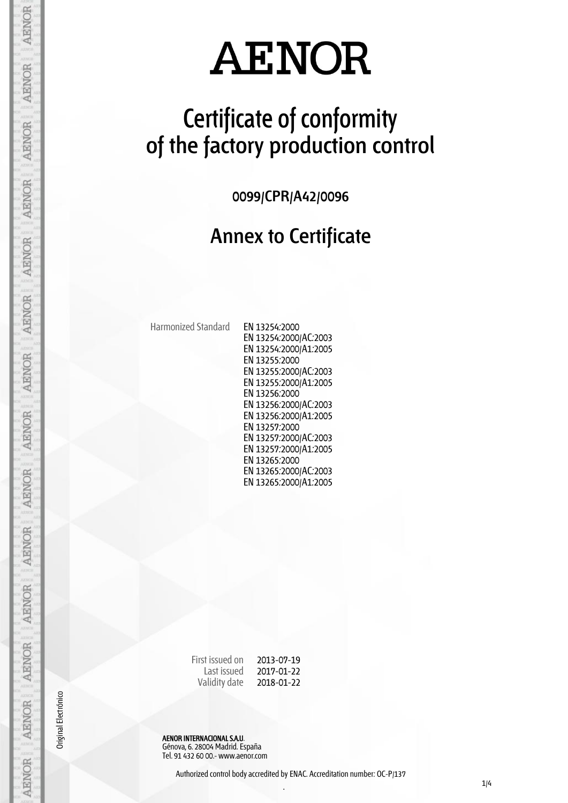### **Certificate of conformity of the factory production control**

**0099/CPR/A42/0096**

#### **Annex to Certificate**

Harmonized Standard EN 13254:2000

EN 13254:2000/AC:2003 EN 13254:2000/A1:2005 EN 13255:2000 EN 13255:2000/AC:2003 EN 13255:2000/A1:2005 EN 13256:2000 EN 13256:2000/AC:2003 EN 13256:2000/A1:2005 EN 13257:2000 EN 13257:2000/AC:2003 EN 13257:2000/A1:2005 EN 13265:2000 EN 13265:2000/AC:2003 EN 13265:2000/A1:2005

First issued on Last issued Validity date 2013-07-19 2017-01-22 2018-01-22

AENOR INTERNACIONAL S.A.U. Génova, 6. 28004 Madrid. España Tel. 91 432 60 00.- www.aenor.com

Original Electrónico

**AENOR** 

**AENOR** 

AENOR

**AENOR** 

**AENOR** 

**AENOR** 

**AENOR** 

AENOR

**AENOR** 

**AENOR** 

**AENOR** 

**AENOR** 

AENOR

AENOR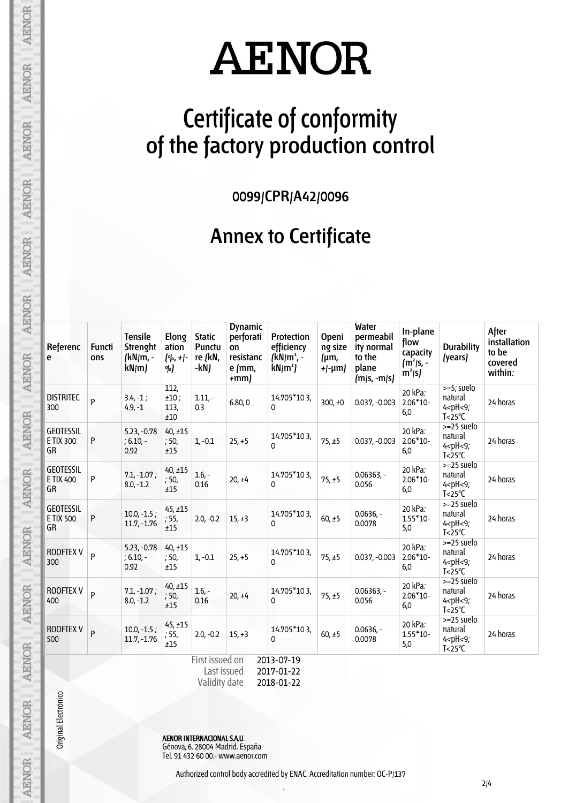### **Certificate of conformity of the factory production control**

**0099/CPR/A42/0096**

#### **Annex to Certificate**

| Referenc<br>e                              | Functi<br>ons  | <b>Tensile</b><br>Strenght<br>(kN/m, -<br>kN/m | Elong<br>ation<br>$[°]_0, +]_0$<br>%) | <b>Static</b><br>Punctu<br>re (kN,<br>-kN) | <b>Dynamic</b><br>perforati<br>on<br>resistanc<br>e /mm,<br>$+mm$ | <b>Protection</b><br>efficiency<br>$(kN/m^2 -$<br>$kN/m^2$ | <b>Openi</b><br>ng size<br>(µm,<br>$+[-\mu m]$ | <b>Water</b><br>permeabil<br>ity normal<br>to the<br>plane<br>$(m/s, -m/s)$ | In-plane<br>flow<br>capacity<br>$(m2/s, -)$<br>$m^2 s $ | <b>Durability</b><br>(years)                                                      | After<br>installation<br>to be<br>covered<br>within: |
|--------------------------------------------|----------------|------------------------------------------------|---------------------------------------|--------------------------------------------|-------------------------------------------------------------------|------------------------------------------------------------|------------------------------------------------|-----------------------------------------------------------------------------|---------------------------------------------------------|-----------------------------------------------------------------------------------|------------------------------------------------------|
| <b>DISTRITEC</b><br>300                    | P              | $3.4, -1;$<br>$4.9, -1$                        | 112,<br>$±10$ ;<br>113,<br>±10        | $1.11 -$<br>0.3                            | 6.80,0                                                            | 14.705*103,<br>$\Omega$                                    | 300, $±0$                                      | $0.037, -0.003$                                                             | 20 kPa:<br>$2.06*10-$<br>6,0                            | >=5; suelo<br>natural<br>$4$ <ph <9;<br=""><math>T &lt; 25^{\circ}C</math></ph>   | 24 horas                                             |
| <b>GEOTESSIL</b><br>E TIX 300<br>GR        | P              | $5.23, -0.78$<br>$; 6.10, -$<br>0.92           | $40, \pm 15$<br>; 50,<br>±15          | $1, -0.1$                                  | $25, +5$                                                          | 14.705*103,<br>0                                           | 75, ±5                                         | $0.037, -0.003$                                                             | 20 kPa:<br>$2.06*10-$<br>6,0                            | $>=25$ suelo<br>natural<br>$4$ <ph <9;<br=""><math>T &lt; 25^{\circ}C</math></ph> | 24 horas                                             |
| <b>GEOTESSIL</b><br>E TIX 400<br>GR        | P              | $7.1, -1.07;$<br>$8.0, -1.2$                   | $40, \pm 15$<br>; 50,<br>±15          | $1.6 -$<br>0.16                            | $20, +4$                                                          | 14.705*103,<br>$\Omega$                                    | 75, ±5                                         | $0.06363,-$<br>0.056                                                        | 20 kPa:<br>$2.06*10-$<br>6,0                            | $>=25$ suelo<br>natural<br>$4$ <ph <9;<br=""><math>T &lt; 25^{\circ}C</math></ph> | 24 horas                                             |
| <b>GEOTESSIL</b><br>E TIX 500<br><b>GR</b> | P              | $10.0, -1.5;$<br>$11.7, -1.76$                 | $45, \pm 15$<br>; 55,<br>±15          | $2.0, -0.2$                                | $15, +3$                                                          | 14.705*103,<br>0                                           | 60, ±5                                         | $0.0636,-$<br>0.0078                                                        | 20 kPa:<br>$1.55*10-$<br>5,0                            | $>=25$ suelo<br>natural<br>$4$ <ph <9;<br=""><math>T &lt; 25^{\circ}C</math></ph> | 24 horas                                             |
| <b>ROOFTEX V</b><br>300                    | P              | $5.23, -0.78$<br>$; 6.10, -$<br>0.92           | $40, \pm 15$<br>:50,<br>±15           | $1, -0.1$                                  | $25, +5$                                                          | 14.705*103,<br>$\Omega$                                    | 75, ±5                                         | $0.037, -0.003$                                                             | 20 kPa:<br>$2.06*10-$<br>6,0                            | $>=25$ suelo<br>natural<br>$4$ <ph <9;<br=""><math>T &lt; 25^{\circ}C</math></ph> | 24 horas                                             |
| <b>ROOFTEX V</b><br>400                    | $\overline{P}$ | $7.1, -1.07;$<br>$8.0, -1.2$                   | $40, \pm 15$<br>; 50,<br>±15          | $1.6 -$<br>0.16                            | $20, +4$                                                          | 14.705*103,<br>$\Omega$                                    | 75, ±5                                         | $0.06363, -$<br>0.056                                                       | 20 kPa:<br>$2.06*10-$<br>6,0                            | >=25 suelo<br>natural<br>$4$ <ph <9;<br=""><math>T &lt; 25^{\circ}C</math></ph>   | 24 horas                                             |
| <b>ROOFTEX V</b><br>500                    | $\overline{P}$ | $10.0, -1.5;$<br>$11.7, -1.76$                 | 45, ±15<br>; 55,<br>±15               | $2.0, -0.2$                                | $15, +3$                                                          | 14.705*103,<br>0                                           | $60, \pm 5$                                    | $0.0636. -$<br>0.0078                                                       | 20 kPa:<br>$1.55*10-$<br>5,0                            | $>=25$ suelo<br>natural<br>$4$ <ph <9;<br=""><math>I &lt; 25^{\circ}C</math></ph> | 24 horas                                             |

Validity date 2018-01-22

Original Electrónico

AENOR

**AENOR** 

**AENOR** 

**AENOR** 

**AENOR** 

**AENOR** 

**AENOR** 

AENOR

AENOR AENOR AENOR AENOR AENOR AENOR AENOR

AENOR INTERNACIONAL S.A.U. Génova, 6. 28004 Madrid. España Tel. 91 432 60 00.- www.aenor.com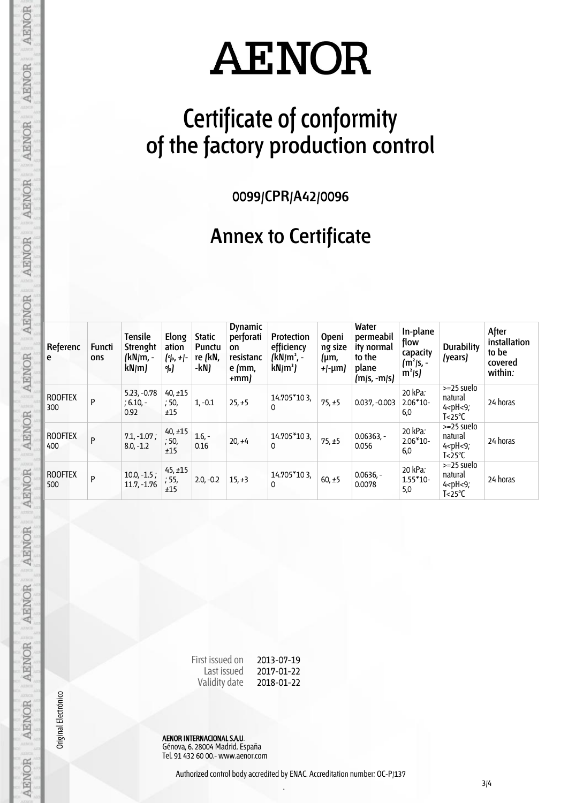### **Certificate of conformity of the factory production control**

**0099/CPR/A42/0096**

#### **Annex to Certificate**

| Referenc<br>e         | <b>Functi</b><br>ons | Tensile<br>Strenght<br>(kN/m, -<br>kN/m | Elong<br>ation<br>$[°]_0, +]_0$<br>%) | <b>Static</b><br>Punctu<br>re (kN,<br>-kN) | <b>Dynamic</b><br>perforati<br>on<br>resistanc<br>$e$ (mm,<br>$+mm$ | Protection<br>efficiency<br>$(kN/m^2, -$<br>$kN/m^2$ | <b>Openi</b><br>ng size<br>(µm,<br>+ $\frac{1}{\mu}$ -µm $\mu$ | Water<br>permeabil<br>ity normal<br>to the<br>plane<br>$(m/s, -m/s)$ | In-plane<br>flow<br>capacity<br>$(m2/s, -$<br>$m^2/s$ | <b>Durability</b><br>(years)                                                    | After<br>installation<br>to be<br>covered<br>within: |
|-----------------------|----------------------|-----------------------------------------|---------------------------------------|--------------------------------------------|---------------------------------------------------------------------|------------------------------------------------------|----------------------------------------------------------------|----------------------------------------------------------------------|-------------------------------------------------------|---------------------------------------------------------------------------------|------------------------------------------------------|
| <b>ROOFTEX</b><br>300 | P                    | $5.23, -0.78$<br>$; 6.10, -$<br>0.92    | $40, \pm 15$<br>; 50,<br>±15          | $1, -0.1$                                  | $25, +5$                                                            | 14.705*103,<br>0                                     | 75, ±5                                                         | $0.037, -0.003$                                                      | 20 kPa:<br>$2.06*10-$<br>6,0                          | >=25 suelo<br>natural<br>$4$ <ph <9;<br=""><math>T &lt; 25^{\circ}C</math></ph> | 24 horas                                             |
| <b>ROOFTEX</b><br>400 | P                    | $7.1, -1.07$ ;<br>$8.0, -1.2$           | $40, \pm 15$<br>; 50,<br>±15          | $1.6, -$<br>0.16                           | $20, +4$                                                            | 14.705*103,<br>0                                     | 75, ±5                                                         | $0.06363,-$<br>0.056                                                 | 20 kPa:<br>$2.06*10-$<br>6,0                          | >=25 suelo<br>natural<br>$4$ <ph <9;<br=""><math>T &lt; 25^{\circ}C</math></ph> | 24 horas                                             |
| <b>ROOFTEX</b><br>500 | P                    | $10.0, -1.5;$<br>$11.7, -1.76$          | $45, \pm 15$<br>; 55,<br>±15          | $2.0, -0.2$                                | $15, +3$                                                            | 14.705*103,<br>0                                     | $60, \pm 5$                                                    | $0.0636,-$<br>0.0078                                                 | 20 kPa:<br>$1.55*10-$<br>5,0                          | >=25 suelo<br>natural<br>$4$ <ph <9;<br=""><math>T &lt; 25^{\circ}C</math></ph> | 24 horas                                             |

First issued on Last issued Validity date 2013-07-19 2017-01-22 2018-01-22

AENOR INTERNACIONAL S.A.U. Génova, 6. 28004 Madrid. España Tel. 91 432 60 00.- www.aenor.com

Original Electrónico

**AENOR** 

**AENOR** 

**AENOR** 

**AENOR** 

**AENOR** 

AENOR AENOR AENOR AENOR

AENOR

**AENOR** 

AENOR

AENOR

**AENOR**